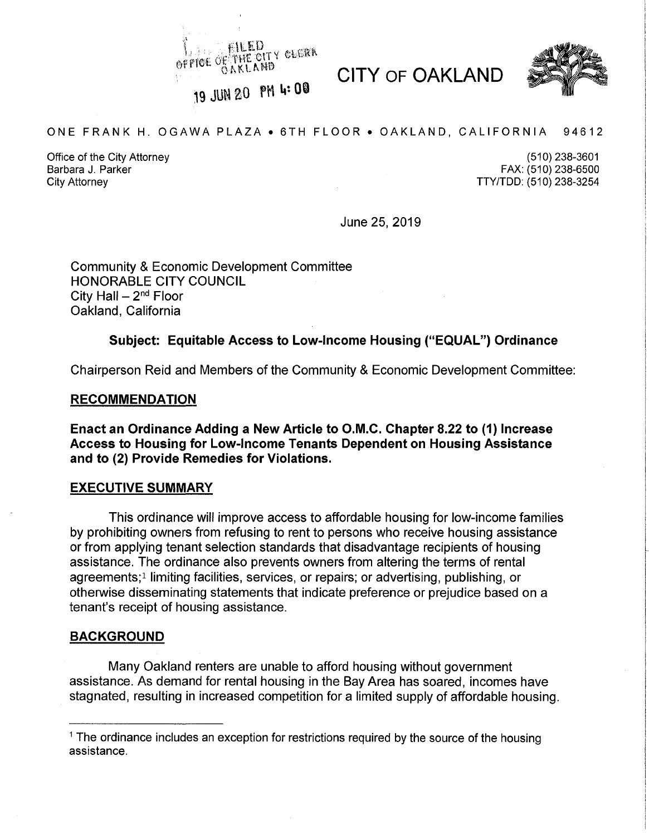**EILLU** PFOE OF THE OITY GLISSA

CITY OF OAKLAND



19 JUN 20 PM 4:00

### ONE FRANK H. OGAWA PLAZA • 6TH FLOOR • OAKLAND, CALIFORNIA 94612

Office of the City Attorney Barbara J. Parker City Attorney

(510) 238-3601 FAX: (510) 238-6500 TTY/TDD: (510) 238-3254

June 25, 2019 **<sup>i</sup>**

Community & Economic Development Committee HONORABLE CITY COUNCIL City Hall  $- 2<sup>nd</sup>$  Floor Oakland, California

### **Subject: Equitable Access to Low-Income Housing ("EQUAL") Ordinance**

Chairperson Reid and Members of the Community & Economic Development Committee:

### **RECOMMENDATION**

**Enact an Ordinance Adding a New Article to O.M.C. Chapter 8.22 to (1) Increase Access to Housing for Low-Income Tenants Dependent on Housing Assistance and to (2) Provide Remedies for Violations.**

### **EXECUTIVE SUMMARY**

This ordinance will improve access to affordable housing for low-income families by prohibiting owners from refusing to rent to persons who receive housing assistance or from applying tenant selection standards that disadvantage recipients of housing assistance. The ordinance also prevents owners from altering the terms of rental agreements;<sup>1</sup> limiting facilities, services, or repairs; or advertising, publishing, or otherwise disseminating statements that indicate preference or prejudice based on a tenant's receipt of housing assistance.

### **BACKGROUND**

Many Oakland renters are unable to afford housing without government assistance. As demand for rental housing in the Bay Area has soared, incomes have stagnated, resulting in increased competition for a limited supply of affordable housing.

**<sup>1</sup>** The ordinance includes an exception for restrictions required by the source of the housing assistance.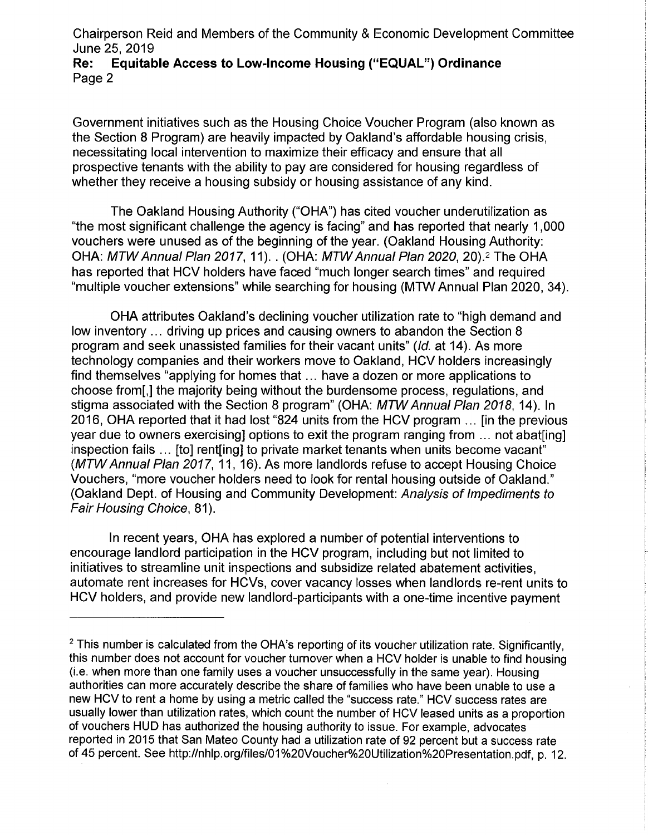Chairperson Reid and Members of the Community & Economic Development Committee June 25, 2019<br>**Re:** Equitat

## **Re: Equitable Access to Low-Income Housing ("EQUAL") Ordinance** Page 2

Government initiatives such as the Housing Choice Voucher Program (also known as the Section 8 Program) are heavily impacted by Oakland's affordable housing crisis, necessitating local intervention to maximize their efficacy and ensure that all prospective tenants with the ability to pay are considered for housing regardless of whether they receive a housing subsidy or housing assistance of any kind.

The Oakland Housing Authority ("OHA") has cited voucher underutilization as "the most significant challenge the agency is facing" and has reported that nearly 1,000 vouchers were unused as of the beginning of the year. (Oakland Housing Authority: OHA: *MTWAnnual Plan 2017*, 11). . (OHA: *MTWAnnual Plan 2020*, 20).2 The OHA has reported that HCV holders have faced "much longer search times" and required "multiple voucher extensions" while searching for housing (MTW Annual Plan 2020, 34).

OHA attributes Oakland's declining voucher utilization rate to "high demand and low inventory ... driving up prices and causing owners to abandon the Section 8 program and seek unassisted families for their vacant units" *(Id.* at 14). As more technology companies and their workers move to Oakland, HCV holders increasingly find themselves "applying for homes that... have a dozen or more applications to choose from[,] the majority being without the burdensome process, regulations, and stigma associated with the Section 8 program" (OHA: *MTWAnnual Plan 2018,* 14). In 2016, OHA reported that it had lost "824 units from the HCV program ... [in the previous year due to owners exercising] options to exit the program ranging from ... not abat [ing] inspection fails ... [to] rent[ing] to private market tenants when units become vacant" *(MTWAnnual Plan 2017,* 11, 16). As more landlords refuse to accept Housing Choice Vouchers, "more voucher holders need to look for rental housing outside of Oakland." (Oakland Dept, of Housing and Community Development: *Analysis of Impediments to Fair Housing Choice,* 81).

In recent years, OHA has explored a number of potential interventions to encourage landlord participation in the HCV program, including but not limited to initiatives to streamline unit inspections and subsidize related abatement activities, automate rent increases for HCVs, cover vacancy losses when landlords re-rent units to HCV holders, and provide new landlord-participants with a one-time incentive payment **<sup>i</sup>**

i

**:**

 $<sup>2</sup>$  This number is calculated from the OHA's reporting of its voucher utilization rate. Significantly,</sup> this number does not account for voucher turnover when a HCV holder is unable to find housing (i.e. when more than one family uses a voucher unsuccessfully in the same year). Housing authorities can more accurately describe the share of families who have been unable to use a new HCV to rent a home by using a metric called the "success rate." HCV success rates are usually lower than utilization rates, which count the number of HCV leased units as a proportion of vouchers HUD has authorized the housing authority to issue. For example, advocates reported in 2015 that San Mateo County had a utilization rate of 92 percent but a success rate of 45 percent. See [http://nhlp.org/files/01%20Voucher%20Utilization%20Presentation.pdf,](http://nhlp.org/files/01%20Voucher%20Utilization%20Presentation.pdf) p. 12.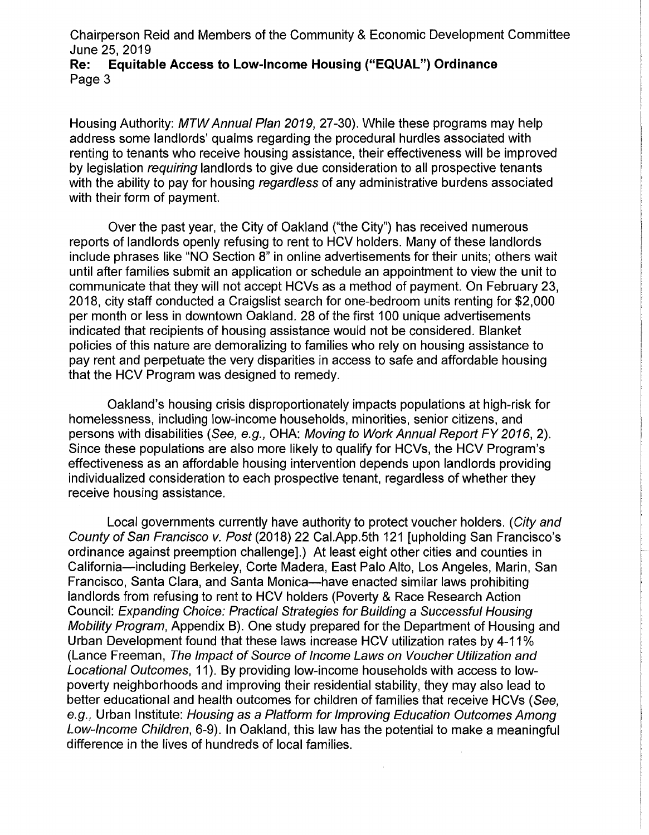Chairperson Reid and Members of the Community & Economic Development Committee

## June 25, 2019<br>**Re:** Equitat **Re: Equitable Access to Low-Income Housing ("EQUAL") Ordinance** Page 3

Housing Authority: *MTWAnnual Plan 2019,* 27-30). While these programs may help address some landlords' qualms regarding the procedural hurdles associated with renting to tenants who receive housing assistance, their effectiveness will be improved by legislation *requiring* landlords to give due consideration to all prospective tenants with the ability to pay for housing *regardless* of any administrative burdens associated with their form of payment.

Over the past year, the City of Oakland ("the City") has received numerous reports of landlords openly refusing to rent to HCV holders. Many of these landlords include phrases like "NO Section 8" in online advertisements for their units; others wait until after families submit an application or schedule an appointment to view the unit to communicate that they will not accept HCVs as a method of payment. On February 23, 2018, city staff conducted a Craigslist search for one-bedroom units renting for \$2,000 per month or less in downtown Oakland. 28 of the first 100 unique advertisements indicated that recipients of housing assistance would not be considered. Blanket policies of this nature are demoralizing to families who rely on housing assistance to pay rent and perpetuate the very disparities in access to safe and affordable housing that the HCV Program was designed to remedy.

Oakland's housing crisis disproportionately impacts populations at high-risk for homelessness, including low-income households, minorities, senior citizens, and persons with disabilities *(See, e.g.,* OHA: *Moving to Work Annual Report FY 2016,* 2). Since these populations are also more likely to qualify for HCVs, the HCV Program's effectiveness as an affordable housing intervention depends upon landlords providing individualized consideration to each prospective tenant, regardless of whether they receive housing assistance.

Local governments currently have authority to protect voucher holders. (*City and County of San Francisco v. Post* (2018) 22 Cal.App.5th 121 [upholding San Francisco's ordinance against preemption challenge].) At least eight other cities and counties in California—including Berkeley, Corte Madera, East Palo Alto, Los Angeles, Marin, San Francisco, Santa Clara, and Santa Monica—have enacted similar laws prohibiting landlords from refusing to rent to HCV holders (Poverty & Race Research Action Council: *Expanding Choice: Practical Strategies for Building a Successful Housing Mobility Program,* Appendix B). One study prepared for the Department of Housing and Urban Development found that these laws increase HCV utilization rates by 4-11% (Lance Freeman, *The Impact ofSource of Income Laws on Voucher Utilization and Locational Outcomes,* 11). By providing low-income households with access to lowpoverty neighborhoods and improving their residential stability, they may also lead to better educational and health outcomes for children of families that receive HCVs *(See, e.g.,* Urban Institute: *Housing as a Platform for Improving Education Outcomes Among Low-Income Children,* 6-9). In Oakland, this law has the potential to make a meaningful difference in the lives of hundreds of local families.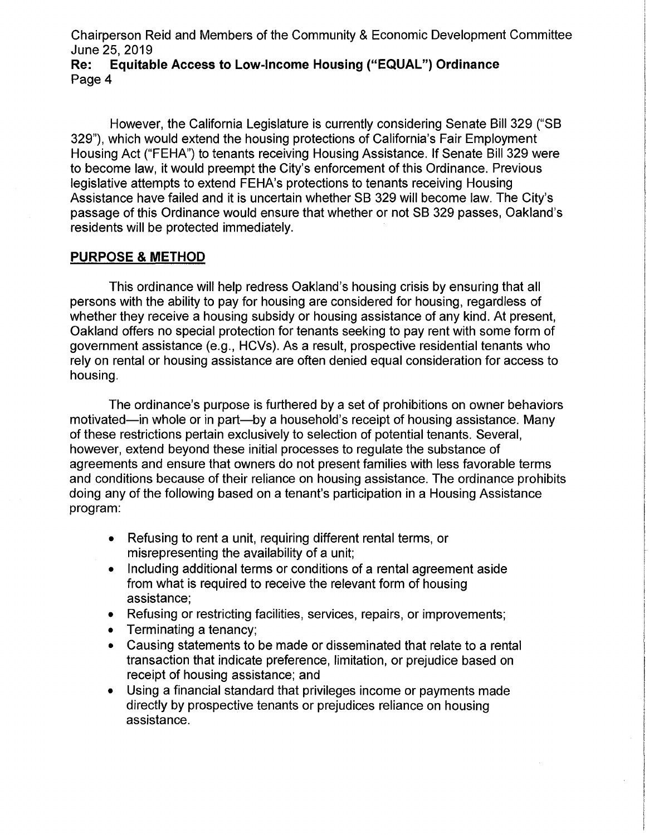Chairperson Reid and Members of the Community & Economic Development Committee June 25, 2019<br>**Re:** Equitab

## **Re: Equitable Access to Low-Income Housing ("EQUAL") Ordinance** Page 4

However, the California Legislature is currently considering Senate Bill 329 ("SB 329"), which would extend the housing protections of California's Fair Employment Housing Act ("FEHA") to tenants receiving Housing Assistance. If Senate Bill 329 were to become law, it would preempt the City's enforcement of this Ordinance. Previous legislative attempts to extend FEHA's protections to tenants receiving Housing Assistance have failed and it is uncertain whether SB 329 will become law. The City's passage of this Ordinance would ensure that whether or not SB 329 passes, Oakland's residents will be protected immediately.

## **PURPOSE & METHOD**

This ordinance will help redress Oakland's housing crisis by ensuring that all persons with the ability to pay for housing are considered for housing, regardless of whether they receive a housing subsidy or housing assistance of any kind. At present, Oakland offers no special protection for tenants seeking to pay rent with some form of government assistance (e.g., HCVs). As a result, prospective residential tenants who rely on rental or housing assistance are often denied equal consideration for access to housing.

The ordinance's purpose is furthered by a set of prohibitions on owner behaviors motivated—in whole or in part—by a household's receipt of housing assistance. Many of these restrictions pertain exclusively to selection of potential tenants. Several, however, extend beyond these initial processes to regulate the substance of agreements and ensure that owners do not present families with less favorable terms and conditions because of their reliance on housing assistance. The ordinance prohibits doing any of the following based on a tenant's participation in a Housing Assistance program:

- Refusing to rent a unit, requiring different rental terms, or  $\bullet$ misrepresenting the availability of a unit;
- Including additional terms or conditions of a rental agreement aside from what is required to receive the relevant form of housing assistance;
- Refusing or restricting facilities, services, repairs, or improvements;  $\bullet$
- Terminating a tenancy;  $\bullet$
- Causing statements to be made or disseminated that relate to a rental  $\bullet$ transaction that indicate preference, limitation, or prejudice based on receipt of housing assistance; and
- Using a financial standard that privileges income or payments made directly by prospective tenants or prejudices reliance on housing assistance.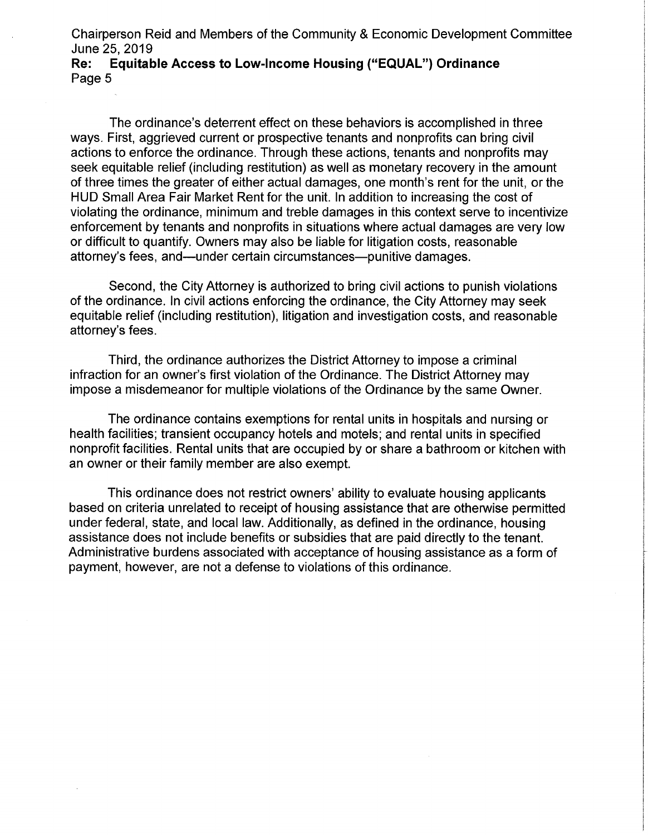Chairperson Reid and Members of the Community & Economic Development Committee June 25, 2019<br>**Re:** Equitat

## **Re: Equitable Access to Low-Income Housing ("EQUAL") Ordinance** Page 5

The ordinance's deterrent effect on these behaviors is accomplished in three ways. First, aggrieved current or prospective tenants and nonprofits can bring civil actions to enforce the ordinance. Through these actions, tenants and nonprofits may seek equitable relief (including restitution) as well as monetary recovery in the amount of three times the greater of either actual damages, one month's rent for the unit, or the HUD Small Area Fair Market Rent for the unit. In addition to increasing the cost of violating the ordinance, minimum and treble damages in this context serve to incentivize enforcement by tenants and nonprofits in situations where actual damages are very low or difficult to quantify. Owners may also be liable for litigation costs, reasonable attorney's fees, and—under certain circumstances—punitive damages.

Second, the City Attorney is authorized to bring civil actions to punish violations of the ordinance. In civil actions enforcing the ordinance, the City Attorney may seek equitable relief (including restitution), litigation and investigation costs, and reasonable attorney's fees.

Third, the ordinance authorizes the District Attorney to impose a criminal infraction for an owner's first violation of the Ordinance. The District Attorney may impose a misdemeanor for multiple violations of the Ordinance by the same Owner.

The ordinance contains exemptions for rental units in hospitals and nursing or health facilities; transient occupancy hotels and motels; and rental units in specified nonprofit facilities. Rental units that are occupied by or share a bathroom or kitchen with an owner or their family member are also exempt.

This ordinance does not restrict owners' ability to evaluate housing applicants based on criteria unrelated to receipt of housing assistance that are otherwise permitted under federal, state, and local law. Additionally, as defined in the ordinance, housing assistance does not include benefits or subsidies that are paid directly to the tenant. Administrative burdens associated with acceptance of housing assistance as a form of payment, however, are not a defense to violations of this ordinance.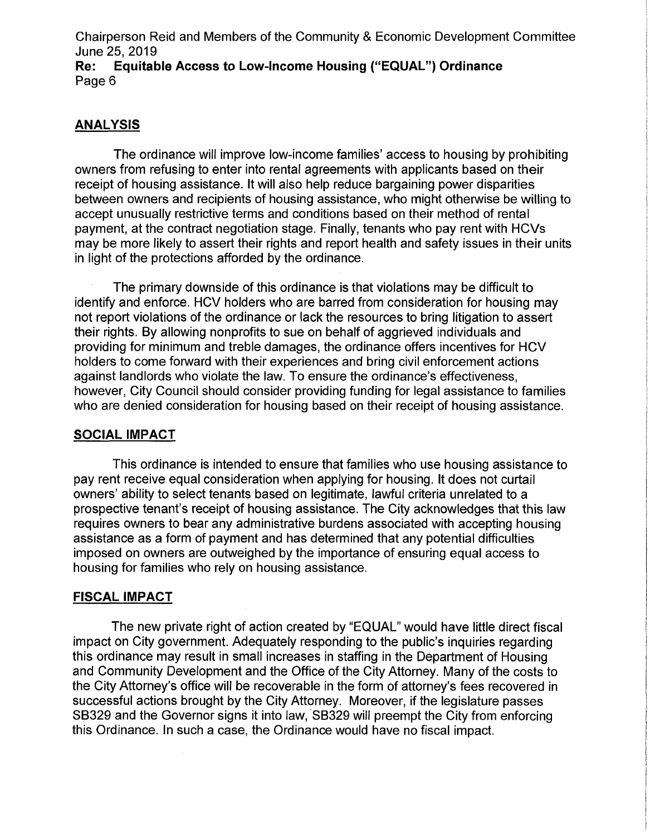Chairperson Reid and Members of the Community & Economic Development Committee **June 25, 2019<br>Re: Equital Re: Equitable Access to Low-Income Housing ("EQUAL") Ordinance** Page 6

## **ANALYSIS**

The ordinance will improve low-income families' access to housing by prohibiting owners from refusing to enter into rental agreements with applicants based on their receipt of housing assistance. It will also help reduce bargaining power disparities between owners and recipients of housing assistance, who might otherwise be willing to accept unusually restrictive terms and conditions based on their method of rental payment, at the contract negotiation stage. Finally, tenants who pay rent with HCVs may be more likely to assert their rights and report health and safety issues in their units in light of the protections afforded by the ordinance.

The primary downside of this ordinance is that violations may be difficult to identify and enforce. HCV holders who are barred from consideration for housing may not report violations of the ordinance or lack the resources to bring litigation to assert their rights. By allowing nonprofits to sue on behalf of aggrieved individuals and providing for minimum and treble damages, the ordinance offers incentives for HCV holders to come forward with their experiences and bring civil enforcement actions against landlords who violate the law. To ensure the ordinance's effectiveness, however, City Council should consider providing funding for legal assistance to families who are denied consideration for housing based on their receipt of housing assistance.

## **SOCIAL IMPACT**

This ordinance is intended to ensure that families who use housing assistance to pay rent receive equal consideration when applying for housing. It does not curtail owners' ability to select tenants based on legitimate, lawful criteria unrelated to a prospective tenant's receipt of housing assistance. The City acknowledges that this law requires owners to bear any administrative burdens associated with accepting housing assistance as a form of payment and has determined that any potential difficulties imposed on owners are outweighed by the importance of ensuring equal access to housing for families who rely on housing assistance.

## **FISCAL IMPACT**

The new private right of action created by "EQUAL" would have little direct fiscal impact on City government. Adequately responding to the public's inquiries regarding this ordinance may result in small increases in staffing in the Department of Housing and Community Development and the Office of the City Attorney. Many of the costs to the City Attorney's office will be recoverable in the form of attorney's fees recovered in successful actions brought by the City Attorney. Moreover, if the legislature passes SB329 and the Governor signs it into law, SB329 will preempt the City from enforcing this Ordinance. In such a case, the Ordinance would have no fiscal impact.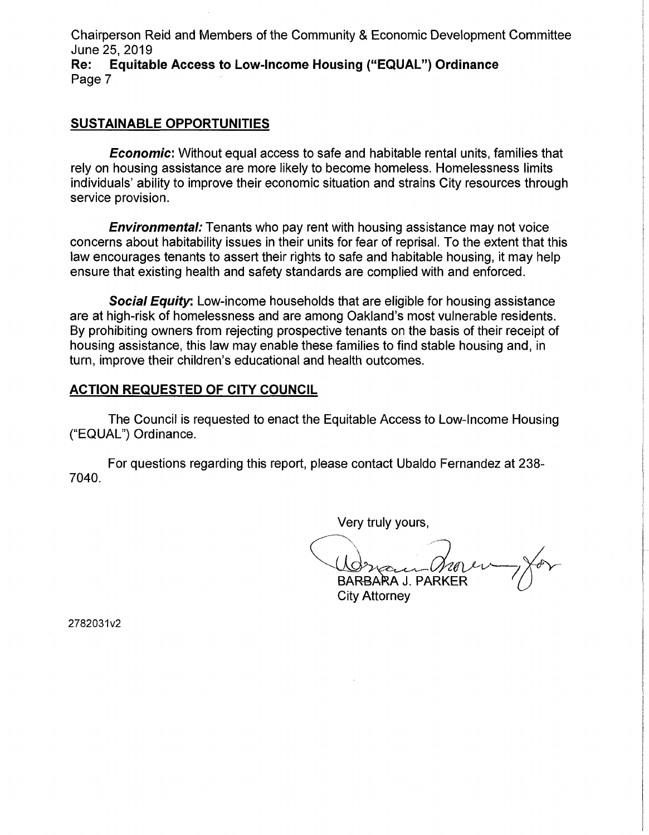Chairperson Reid and Members of the Community & Economic Development Committee June 25, 2019<br>**Re:** Equitab

**Re: Equitable Access to Low-Income Housing ("EQUAL") Ordinance** Page 7

### **SUSTAINABLE OPPORTUNITIES**

*Economic:* Without equal access to safe and habitable rental units, families that rely on housing assistance are more likely to become homeless. Homelessness limits individuals' ability to improve their economic situation and strains City resources through service provision.

*Environmental:* Tenants who pay rent with housing assistance may not voice concerns about habitability issues in their units for fear of reprisal. To the extent that this law encourages tenants to assert their rights to safe and habitable housing, it may help ensure that existing health and safety standards are complied with and enforced.

*Social Equity:* Low-income households that are eligible for housing assistance are at high-risk of homelessness and are among Oakland's most vulnerable residents. By prohibiting owners from rejecting prospective tenants on the basis of their receipt of housing assistance, this law may enable these families to find stable housing and, in turn, improve their children's educational and health outcomes.

## **ACTION REQUESTED OF CITY COUNCIL**

The Council is requested to enact the Equitable Access to Low-Income Housing ("EQUAL") Ordinance.

For questions regarding this report, please contact Ubaldo Fernandez at 238- 7040.

Very truly yours,

 $\mathcal{A}$ BARBARA J. PARKER

City Attorney

2782031v2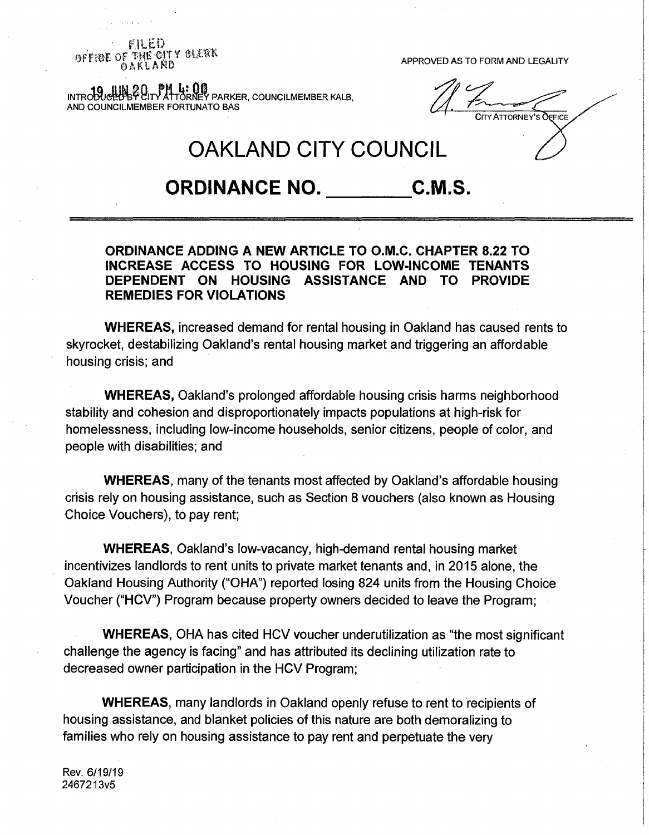*i:\\* **£D MMANUS AND REALLY BUTTY CONTRACT CONTRACT CONTRACT APPROVED AS TO FORM AND LEGALITY**<br>  $\frac{\partial F}{\partial A}KLAND$ 

**I<sub>N</sub>: () ()**<br>TÖRNEY PARKER, COUNCILMEMBER KALB, AND COUNCILMEMBER FORTUNATO BAS

City Attorney'<sup>s</sup> Office

# **OAKLAND CITY COUNCIL**

## **ORDINANCE NO. C.M.S.**

## **ORDINANCE ADDING A NEW ARTICLE TO O.M.C. CHAPTER 8.22 TO INCREASE ACCESS TO HOUSING FOR LOW-INCOME TENANTS HOUSING ASSISTANCE AND REMEDIES FOR VIOLATIONS**

**WHEREAS,** increased demand for rental housing in Oakland has caused rents to skyrocket, destabilizing Oakland's rental housing market and triggering an affordable housing crisis; and

**WHEREAS,** Oakland's prolonged affordable housing crisis harms neighborhood stability and cohesion and disproportionately impacts populations at high-risk for homelessness, including low-income households, senior citizens, people of color, and people with disabilities; and

**WHEREAS,** many of the tenants most affected by Oakland's affordable housing crisis rely on housing assistance, such as Section 8 vouchers (also known as Housing Choice Vouchers), to pay rent;

**WHEREAS,** Oakland's low-vacancy, high-demand rental housing market incentivizes landlords to rent units to private market tenants and, in 2015 alone, the Oakland Housing Authority ("OHA") reported losing 824 units from the Housing Choice Voucher ("HCV") Program because property owners decided to leave the Program;

**WHEREAS,** OHA has cited HCV voucher underutilization as "the most significant challenge the agency is facing" and has attributed its declining utilization rate to decreased owner participation in the HCV Program;

**WHEREAS,** many landlords in Oakland openly refuse to rent to recipients of housing assistance, and blanket policies of this nature are both demoralizing to families who rely on housing assistance to pay rent and perpetuate the very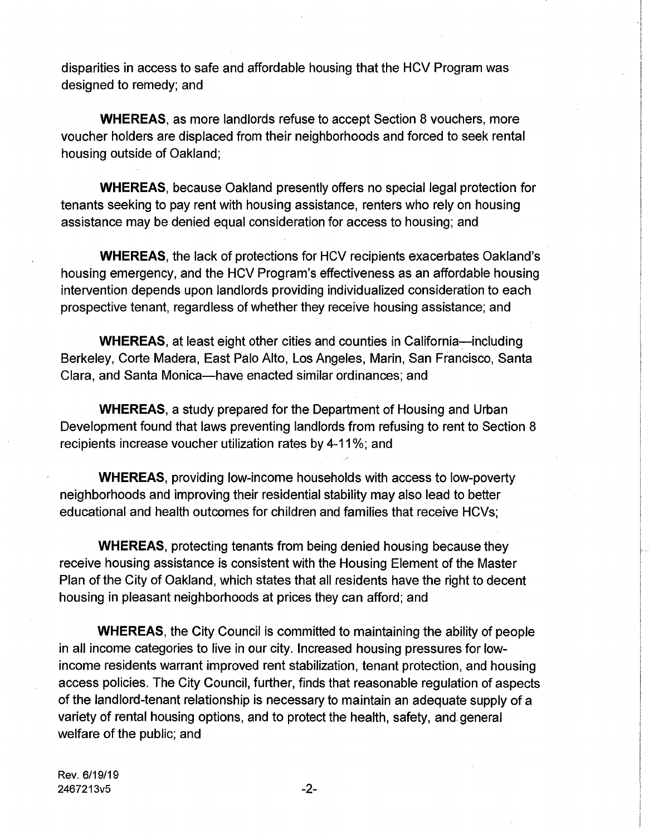disparities in access to safe and affordable housing that the HCV Program was designed to remedy; and

**WHEREAS,** as more landlords refuse to accept Section 8 vouchers, more voucher holders are displaced from their neighborhoods and forced to seek rental housing outside of Oakland;

**WHEREAS,** because Oakland presently offers no special legal protection for tenants seeking to pay rent with housing assistance, renters who rely on housing assistance may be denied equal consideration for access to housing; and

**WHEREAS,** the lack of protections for HCV recipients exacerbates Oakland's housing emergency, and the HCV Program's effectiveness as an affordable housing intervention depends upon landlords providing individualized consideration to each prospective tenant, regardless of whether they receive housing assistance; and

**WHEREAS,** at least eight other cities and counties in California—including Berkeley, Corte Madera, East Palo Alto, Los Angeles, Marin, San Francisco, Santa Clara, and Santa Monica—have enacted similar ordinances; and

**WHEREAS,** a study prepared for the Department of Housing and Urban Development found that laws preventing landlords from refusing to rent to Section 8 recipients increase voucher utilization rates by 4-11%; and

**WHEREAS,** providing low-income households with access to low-poverty neighborhoods and improving their residential stability may also lead to better educational and health outcomes for children and families that receive HCVs;

**WHEREAS,** protecting tenants from being denied housing because they receive housing assistance is consistent with the Housing Element of the Master Plan of the City of Oakland, which states that all residents have the right to decent housing in pleasant neighborhoods at prices they can afford; and

**WHEREAS,** the City Council is committed to maintaining the ability of people in all income categories to live in our city. Increased housing pressures for lowincome residents warrant improved rent stabilization, tenant protection, and housing access policies. The City Council, further, finds that reasonable regulation of aspects of the landlord-tenant relationship is necessary to maintain an adequate supply of a variety of rental housing options, and to protect the health, safety, and. general welfare of the public; and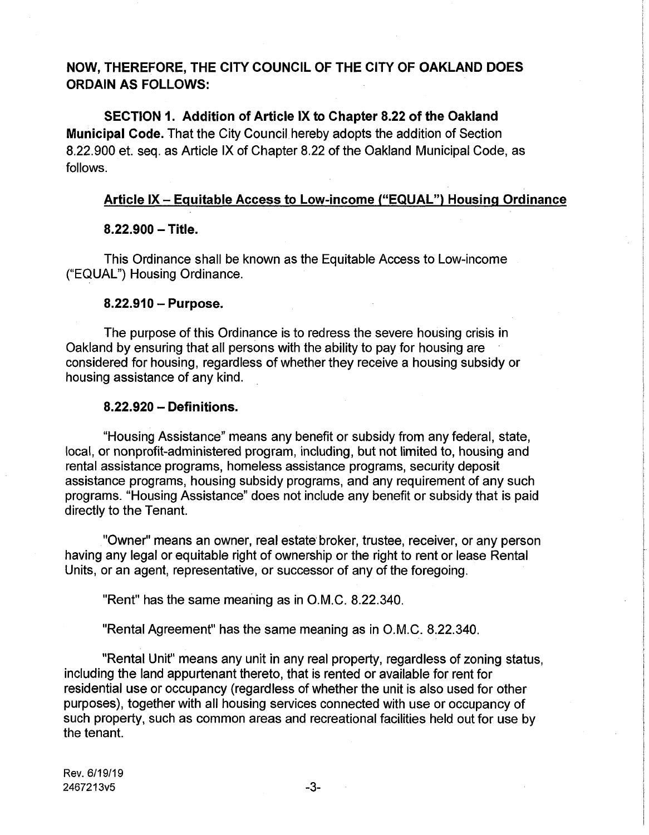## **NOW, THEREFORE, THE CITY COUNCIL OF THE CITY OF OAKLAND DOES ORDAIN AS FOLLOWS:**

**SECTION 1. Addition of Article IX to Chapter 8.22 of the Oakland Municipal Code.** That the City Council hereby adopts the addition of Section 8.22.900 et. seq. as Article IX of Chapter 8.22 of the Oakland Municipal Code, as follows.

## **Article IX - Equitable Access to Low-income ("EQUAL") Housing Ordinance**

!

**?**

### **8.22.900-Title.**

This Ordinance shall be known as the Equitable Access to Low-income ("EQUAL") Housing Ordinance.

### **8.22.910 - Purpose.**

The purpose of this Ordinance is to redress the severe housing crisis in Oakland by ensuring that all persons with the ability to pay for housing are considered for housing, regardless of whether they receive a housing subsidy or housing assistance of any kind.

### **8.22.920 - Definitions.**

"Housing Assistance" means any benefit or subsidy from any federal, state, local, or nonprofit-administered program, including, but not limited to, housing and rental assistance programs, homeless assistance programs, security deposit assistance programs, housing subsidy programs, and any requirement of any such programs. "Housing Assistance" does not include any benefit or subsidy that is paid directly to the Tenant.

"Owner" means an owner, real estate broker, trustee, receiver, or any person having any legal or equitable right of ownership or the right to rent or lease Rental Units, or an agent, representative, or successor of any of the foregoing.

"Rent" has the same meaning as in O.M.C. 8.22.340.

"Rental Agreement" has the same meaning as in O.M.C. 8.22.340.

"Rental Unit" means any unit in any real property, regardless of zoning status, including the land appurtenant thereto, that is rented or available for rent for residential use or occupancy (regardless of whether the unit is also used for other purposes), together with all housing services connected with use or occupancy of such property, such as common areas and recreational facilities held out for use by the tenant.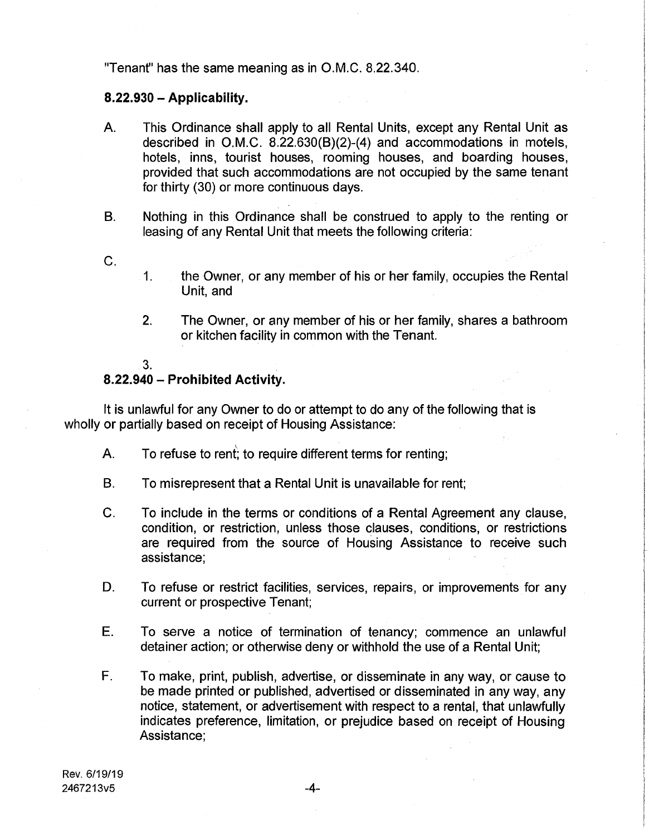"Tenant" has the same meaning as in O.M.C. 8.22.340.

## **8.22.930 - Applicability.**

- This Ordinance shall apply to all Rental Units, except any Rental Unit as described in O.M.C. 8.22.630(B)(2)-(4) and accommodations in motels, hotels, inns, tourist houses, rooming houses, and boarding houses, provided that such accommodations are not occupied by the same tenant for thirty (30) or more continuous days. A.
- Nothing in this Ordinance shall be construed to apply to the renting or leasing of any Rental Unit that meets the following criteria: B.
- C.
- the Owner, or any member of his or her family, occupies the Rental Unit, and 1.
- The Owner, or any member of his or her family, shares a bathroom or kitchen facility in common with the Tenant. 2.
- 3.

### **8.22.940 - Prohibited Activity.**

It is unlawful for any Owner to do or attempt to do any of the following that is wholly or partially based on receipt of Housing Assistance:

- A. To refuse to rent; to require different terms for renting;
- B. To misrepresent that a Rental Unit is unavailable for rent;
- C. To include in the terms or conditions of a Rental Agreement any clause, condition, or restriction, unless those clauses, conditions, or restrictions are required from the source of Housing Assistance to receive such assistance;
- To refuse or restrict facilities, services, repairs, or improvements for any current or prospective Tenant; D.
- E. To serve a notice of termination of tenancy; commence an unlawful detainer action; or otherwise deny or withhold the use of a Rental Unit;
- F. To make, print, publish, advertise, or disseminate in any way, or cause to be made printed or published, advertised or disseminated in any way, any notice, statement, or advertisement with respect to a rental, that unlawfully indicates preference, limitation, or prejudice based on receipt of Housing Assistance;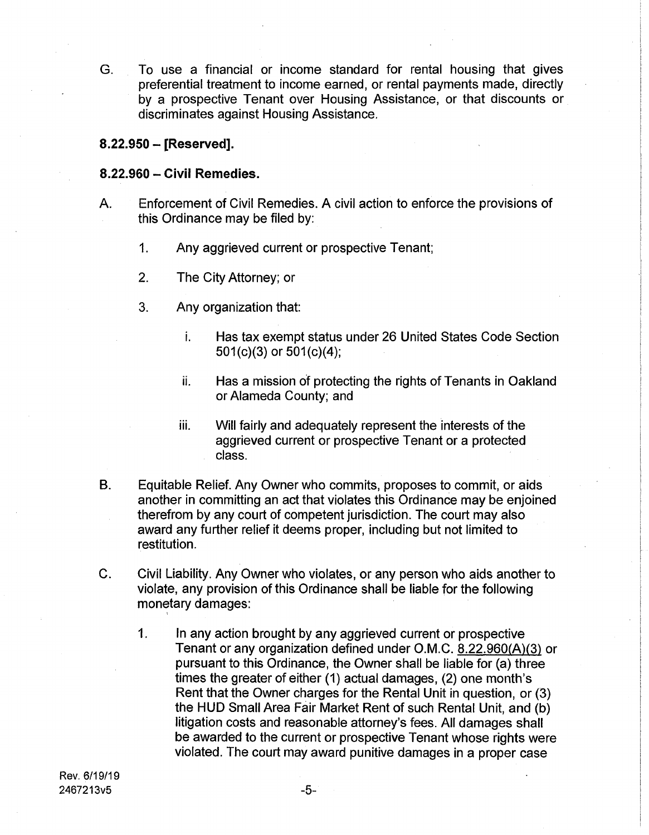To use a financial or income standard for rental housing that gives preferential treatment to income earned, or rental payments made, directly by a prospective Tenant over Housing Assistance, or that discounts or discriminates against Housing Assistance. G.

## **8.22.950 - [Reserved].**

### **8.22.960** - **Civil Remedies.**

- Enforcement of Civil Remedies. A civil action to enforce the provisions of this Ordinance may be filed by: A.
	- **1.** Any aggrieved current or prospective Tenant;
	- 2. The City Attorney; or
	- 3. Any organization that:
		- Has tax exempt status under 26 United States Code Section 501(c)(3) or 501(c)(4); **i.**
		- Has a mission of protecting the rights of Tenants in Oakland or Alameda County; and ii.
		- Will fairly and adequately represent the interests of the aggrieved current or prospective Tenant or a protected class. in.
- Equitable Relief. Any Owner who commits, proposes to commit, or aids another in committing an act that violates this Ordinance may be enjoined therefrom by any court of competent jurisdiction. The court may also award any further relief it deems proper, including but not limited to restitution. B.
- C. Civil Liability. Any Owner who violates, or any person who aids another to violate, any provision of this Ordinance shall be liable for the following monetary damages:
	- **1.** In any action brought by any aggrieved current or prospective Tenant or any organization defined under O.M.C. 8.22.960(A)(3) or pursuant to this Ordinance, the Owner shall be liable for (a) three times the greater of either (1) actual damages, (2) one month's Rent that the Owner charges for the Rental Unit in question, or (3) the HUD Small Area Fair Market Rent of such Rental Unit, and (b) litigation costs and reasonable attorney's fees. All damages shall be awarded to the current or prospective Tenant whose rights were violated. The court may award punitive damages in a proper case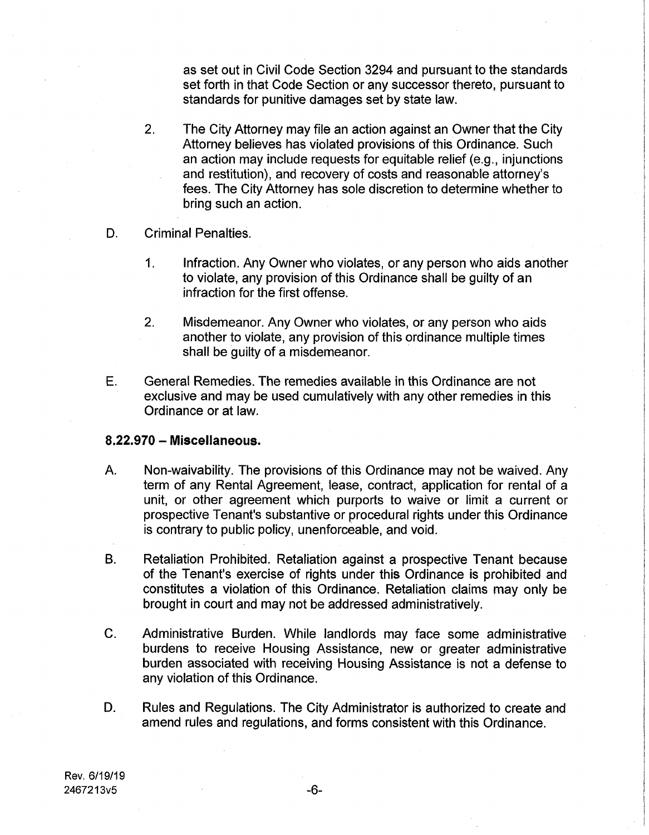as set out in Civil Code Section 3294 and pursuant to the standards set forth in that Code Section or any successor thereto, pursuant to standards for punitive damages set by state law.

- The City Attorney may file an action against an Owner that the City Attorney believes has violated provisions of this Ordinance. Such an action may include requests for equitable relief (e.g., injunctions and restitution), and recovery of costs and reasonable attorney's fees. The City Attorney has sole discretion to determine whether to bring such an action. 2.
- D. Criminal Penalties.
	- Infraction. Any Owner who violates, or any person who aids another to violate, any provision of this Ordinance shall be guilty of an infraction for the first offense. 1.
	- Misdemeanor. Any Owner who violates, or any person who aids another to violate, any provision of this ordinance multiple times shall be guilty of a misdemeanor. 2.
- General Remedies. The remedies available in this Ordinance are not exclusive and may be used cumulatively with any other remedies in this Ordinance or at law. E.

### **8.22.970 - Miscellaneous.**

- Non-waivability. The provisions of this Ordinance may not be waived. Any term of any Rental Agreement, lease, contract, application for rental of a unit, or other agreement which purports to waive or limit a current or prospective Tenant's substantive or procedural rights under this Ordinance is contrary to public policy, unenforceable, and void. A.
- Retaliation Prohibited. Retaliation against a prospective Tenant because of the Tenant's exercise of rights under this Ordinance is prohibited and constitutes a violation of this Ordinance. Retaliation claims may only be brought in court and may not be addressed administratively. B.
- C. Administrative Burden. While landlords may face some administrative burdens to receive Housing Assistance, new or greater administrative burden associated with receiving Housing Assistance is not a defense to any violation of this Ordinance.
- Rules and Regulations. The City Administrator is authorized to create and amend rules and regulations, and forms consistent with this Ordinance. D.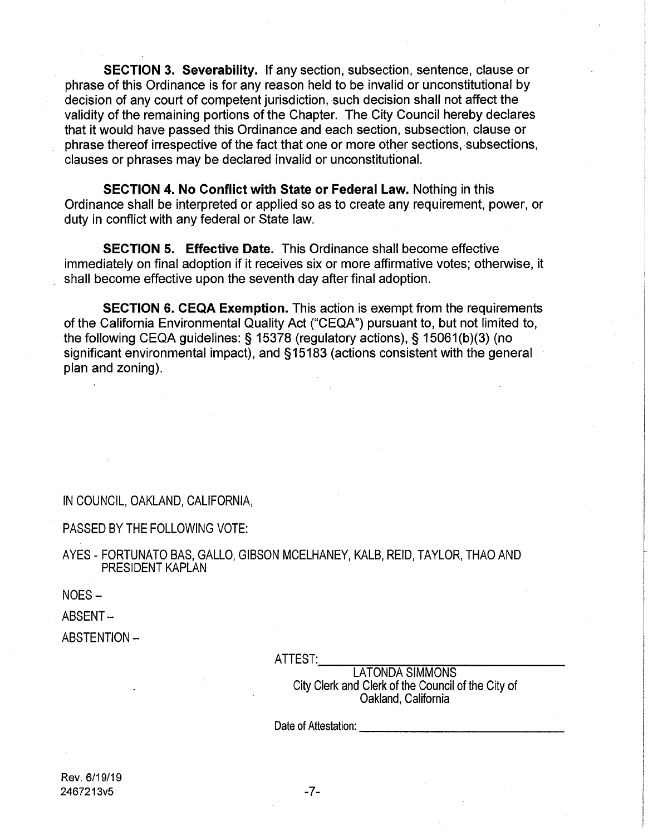**SECTION 3. Severability.** If any section, subsection, sentence, clause or phrase of this Ordinance is for any reason held to be invalid or unconstitutional by decision of any court of competent jurisdiction, such decision shall not affect the validity of the remaining portions of the Chapter. The City Council hereby declares that it would'have passed this Ordinance and each section, subsection, clause or phrase thereof irrespective of the fact that one or more other sections, subsections, clauses or phrases may be declared invalid or unconstitutional.

**SECTION 4. No Conflict with State or Federal Law.** Nothing in this Ordinance shall be interpreted or applied so as to create any requirement, power, or duty in conflict with any federal or State law.

**SECTION 5. Effective Date.** This Ordinance shall become effective immediately on final adoption if it receives six or more affirmative votes; otherwise, it shall become effective upon the seventh day after final adoption.

**SECTION 6. CEQA Exemption.** This action is exempt from the requirements of the California Environmental Quality Act ("CEQA") pursuant to, but not limited to, the following CEQA guidelines: § 15378 (regulatory actions), § 15061(b)(3) (no significant environmental impact), and §15183 (actions consistent with the general plan and zoning).

IN COUNCIL, OAKLAND, CALIFORNIA,

PASSED BY THE FOLLOWING VOTE:

AYES - FORTUNATO BAS, GALLO, GIBSON MCELHANEY, KALB, REID, TAYLOR, THAO AND PRESIDENT KAPLAN

NOES-

ABSENT-

ABSTENTION -

ATTEST:

LATONDA SIMMONS City Clerk and Clerk of the Council of the City of Oakland, California

Date of Attestation: